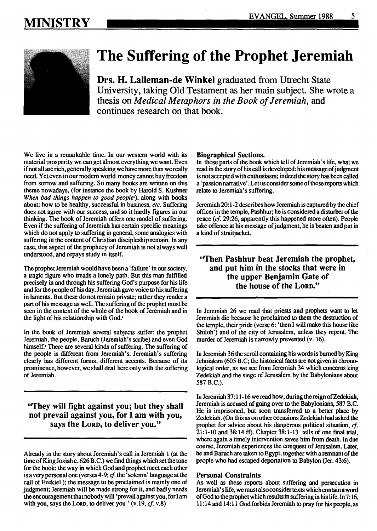# **MINISTRY**



# **The Suffering of the Prophet Jeremiah**

**Drs. H. Lalleman-de Winkel** graduated from Utrecht State University, taking Old Testament as her main subject. She wrote a thesis on *Medical Metaphors in the Book of Jeremiah,* and · continues research on that book.

We live in a remarkable time. In our western world with its material prosperity we can get almost everything we want. Even if not all are rich, generally speaking we have more than we really need. Yet even in our modern world money cannot buy freedom from sorrow and suffering. So many books are written on this theme nowadays, (for instance the book by Harold S. Kushner *When bad things happen to good people•),* along with books about: how to be healthy, successful in business, *etc.* Suffering does not agree with our success, and so it hardly figures in our thinking. The book of Jeremiah offers one model of suffering. Even if the suffering of Jeremiah has certain specific meanings which do not apply to suffering in general, some analogies with suffering in the content of Christian discipleship remain. In any case, this aspect of the prophecy of Jeremiah is not always well understood, and repays study in itself.

The prophet Jeremiah would have been a 'failure' in our society, a tragic figure who treads a lonely path. But this man fulfilled precisely in and through his suffering God's purpose for his life and for the people of his day. Jeremiah gave voice to his suffering in laments. But these do not remain private; rather they render a part of his message as well. The suffering of the prophet must be seen in the context of the whole of the book of Jeremiah and in the light of his relationship with God.<sup>2</sup>

In the book of Jeremiah several subjects suffer: the prophet Jeremiah, the people, Baruch (Jeremiah's scribe) and even God himself. There are several kinds of suffering. The suffering of the people is different from Jeremiah's. Jeremiah's suffering clearly has different forms, different accents. Because of its prominence, however, we shall deal here only with the suffering of Jeremiah.

"They will fight against you; but they shall not prevail against you, for I am with you, says the Lorp, to deliver you."

Already in the story about Jeremiah's call in Jeremiah 1 (at the time of King Josiah c. 626 B.C.) we find things which set the tone for the book: the way in which God and prophet meet each other is a very personal one ( verses 4-9; *cf.* the 'solemn' language at the call of Ezekiel); the message to be proclaimed is mainly one of judgment; Jeremiah will be made strong for it, and badly needs the encouragement that nobody will 'prevail against you, for I am with you, says the LoRD, to deliver you' (v.19, *cf.* v.8)

#### Biographical Sections.

In those parts of the book which tell of Jeremiah's life, what we read in the story of his call is developed: his message of judgment is not accepted with enthusiasm; indeed the story has been called a 'passion narrative'. Let us consider some of these reports which relate to Jeremiah's suffering.

Jeremiah 20: 1-2 describes how Jeremiah is captured by the chief officer in the temple, Pashhur; he is considered a disturber of the peace *(cf.* 29:26, apparently this happened more often). People take offence at his message of judgment, he is beaten and put in a kind of straitjacket.

## "Then Pashhur beat Jeremiah the prophet, and put him in the stocks that were in the upper Benjamin Gate of the house of the LORD."

In Jeremiah 26 we read that priests and prophets want to let Jeremiah die because he proclaimed to them the destruction of the temple, their pride (verse 6: 'then I will make this house like Shiloh') and of the city of Jerusalem, unless they repent The murder of Jeremiah is narrowly prevented (v. 16).

In Jeremiah 36 the scroll containing his words is burned by King Jehoiakim (605 B.C; the historical facts are not given in chronological order, as we see from Jeremiah 34 which concerns king Zedekiah and the siege of Jerusalem by the Babylonians about 587 B.C.).

In Jeremiah 37:11-16 we read how, during the reign of Zedekiah, Jeremiah is accused of going over to the Babylonians, 587 B.C. He is imprisoned, but soon transferred to a better place by Zedekiah. (On this as on other occasions Zedekiah had asked the prophet for advice about his dangerous political situation, *cf.*  21:1-10 and 38:14 ft). Chapter 38:1-13 tells of one final trial, where again a timely intervention saves him from death. In due course, Jeremiah experiences the conquest of Jerusalem. Later, he and Baruch are taken to Egypt, together with a remnant of the people who had escaped deportation to Babylon (Jer. 43:6).

#### Personal Constraints

As well as these reports about suffering and persecution in Jeremiah's life, we must also consider texts which contain a word of God to the prophet which results in suffering in his life. In 7: 16, 11: 14 and 14: 11 God forbids Jeremiah to pray for his people, as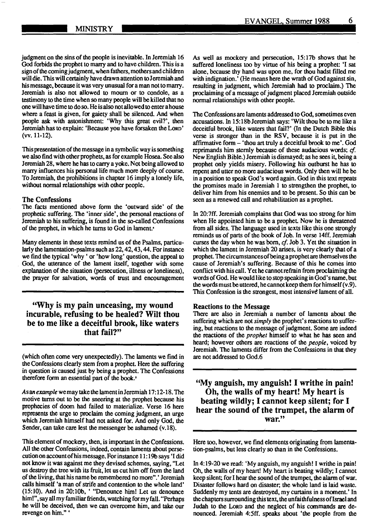judgment on the sins of the people is inevitable. In Jeremiah 16 God forbids the prophet to marry and to have children. This is a sign of the coming judgment, when fathers, mothers and children will die. This will certainly have drawn attention to Jeremiah and his message, because it was very unusual for a man not to marry. Jeremiah is also not allowed to mourn or to condole, as a testimony to the time when so many people will be killed that no one will have time to do so. He is also not allowed to enter a house where a feast is given, for gaiety shall be silenced. And when people ask with- astonishment: 'Why this great evil?', then Jeremiah has to explain: 'Because you have forsaken the LoRD' (vv. 11-12).

This presentation of the message in a symbolic way is something we also find with other prophets, as for example Hosea. See also Jeremiah 28, where he has to carry a yoke. Not being allowed to marry influences his personal life much more deeply of course. To Jeremiah, the prohibitions in chapter 16 imply a lonely life, without normal relationships with other people.

#### The Confessions

The facts mentioned above form the 'outward side' of the prophetic suffering. The 'inner side', the personal reactions of Jeremiah to his suffering, is found in the so-called Confessions of the prophet, in which he turns to God in lament.•

Many elements in these texts remind us of the Psalms, particularly the lamentation-psalms such as 22, 42, 43, 44. For instance we find the typical 'why ' or 'how long' question, the appeal to God, the utterance of the lament itself, together with some explanation of the situation (persecution, illness or loneliness), the prayer for salvation, words of trust and encouragement

## "Why is my pain unceasing, my wound incurable, refusing to be healed? Wilt thou be to me like a deceitful brook, like waters that fail?"

(which often come very unexpectedly). The laments we find in the Confessions clearly stem from a prophet. Here the suffering in question is caused just by being a prophet. The Confessions therefore form an essential part of the book.<sup>5</sup>

AsanexamplewemaytakethelamentinJeremiah 17:12-18. The motive turns out to be the sneering at the prophet because his prophecies of doom had failed to materialize. Verse 16 here represents the urge to proclaim the coming judgment, an urge which Jeremiah himself had not asked for. And only God, the Sender, can take care lest the messenger be ashamed (v.18).

This element of mockery, then, is important in the Confessions. All the other Confessions, indeed, contain laments about persecution on account of his message. For instance 11: 19b says 'I did not know it was against me they devised schemes, saying, "Let us destroy the tree with its fruit, let us cut him off from the land of the living, that his name be remembered no more".' Jeremiah calls himself 'a man of strife and contention to the whole land' (15:10). And in 20:lOb, ' "Denounce him! Let us denounce him!", say all my familiar friends, watching for my fall. "Perhaps he will be deceived, then we can overcome him, and take our revenge on him." '

*As* well as mockery and persecution, 15:17b shows that he suffered loneliness too by virtue of his being a prophet: 'I sat alone, because thy hand was upon me, for thou hadst filled me with indignation.' (He means here the wrath of God against sin, resulting in judgment, which Jeremiah had to proclaim.) The proclaiming of a message of judgment placed Jeremiah outside normal relationships with other people.

The Confessions are laments addressed to God, sometimes even accusations. In 15:18bJeremiah says: 'Wilt thou be to me like a deceitful brook, like waters that fail?' {In the Dutch Bible this verse is stronger than in the RSV, because it is put in the affirmative form - 'thou art truly a deceitful brook to me'. God reprimands him sternly because of these audacious words; *cf.*  New English Bible.) Jeremiah is dismayed; as he sees it, being a prophet only yields misery. Following his outburst he has to repent and utter no more audacious words. Only then will he be in a position to speak God's word again. God in this text repeats the promises made in Jeremiah 1 to strengthen the prophet, to deliver him from his enemies and to be present. So this can be seen as a renewed call and rehabilitation as a prophet.

In 20:7ff. Jeremiah complains that God was too strong for him when He appointed him to be a prophet. Now he is threatened from all sides. The language used in texts like this one strongly reminds us of parts of the book of Job. In verse 14ff. Jeremiah curses the day when he was born, *cf.* Job 3. Yet the situation in which the lament in Jeremiah 20 arises, is very clearly that of a prophet. The circumstances of being a prophet are themselves the cause of Jeremiah's suffering. Because of this he comes into conflict with his call. Yet he cannot refrain from proclaiming the words of God. He would like to stop speaking in God's name, but the words must be uttered, he cannot keep them for himself  $(v.9)$ . This Confession is the strongest, most intensive lament of all.

#### Reactions to the Message

There are also in Jeremiah a number of laments about the suffering which are not *simply* the prophet's reactions to suffering, but reactions to the message of judgment. Some are indeed the reactions of the *prophet* himself to what he has seen and heard; however others are reactions of the *people,* voiced by Jeremiah. The laments differ from the Confessions in that they are not addressed to God.6

"My anguish, my anguish! I writhe in pain! Oh, the walls of my heart! My heart is beating wildly; I cannot keep silent; for I hear the sound of the trumpet, the alarm of war."

Here too, however, we find elements originating from lamentation-psalms, but less clearly so than in the Confessions.

In 4: 19-20 we read: 'My anguish, my anguish! I writhe in pain! Oh, the walls of my heart! My heart is beating wildly; I cannot keep silent; for I hear the sound of the trumpet, the alarm of war. Disaster follows hard on disaster; the whole land is laid waste. Suddenly my tents are destroyed, my curtains in a moment.' In the chapters surrounding this text, the unfaithfulness of Israel and Judah to the LoRD and the neglect of his commands are denounced. Jeremiah 4:5ff. speaks about 'the people from the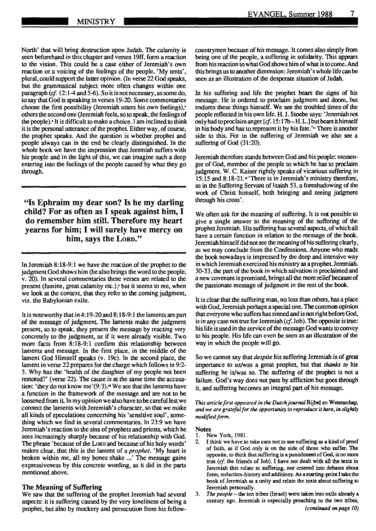North' that will bring destruction upon Judah. The calamity is seen beforehand in this chapter and verses 19ff. form a reaction to the vision. This could be a case either of Jeremiah's own reaction or a voicing of the feelings of the people. 'My tents', plural, could support the latter opinion. (In verse 22 God speaks, but the grammatical subject more often changes within one paragraph (cf. 12:1-4 and 5-6). So it is not necessary, as some do, to say that God is speaking in verses 19-20. Some commentaries choose the first possibility (Jeremiah utters his own feelings): others the second one (Jeremiah feels, so to speak, the feelings of the people).• It is difficult to make a choice. I am inclined to think it is the personal utterance of the prophet. Either way, of course, the prophet speaks. And the question is whether prophet and people always can in the end be clearly distinguished. In the whole book we have the impression that Jeremiah suffers with his people and in the light of this, we can imagine such a deep entering into the feelings of the people caused by what they go through.

"Is Ephraim my dear son? Is he my darling child? For as often as I speak against him, I do remember him still. Therefore my heart yearns for him; I will surely have mercy on him, says the Lorp."

In Jeremiah 8:18-9:1 we have the reaction of the prophet to the judgment God shows him (he also brings the word to the people, v. 20). In several commentaries these verses are related to the present (famine, great calamity etc.), but it seems to me, when we look at the context, that they refer to the coming judgment, viz. the Babylonian exile.

It is noteworthy that in 4: 19-20 and 8: 18-9: **1** the laments are part of the message of judgment. The laments make the judgment present, so to speak, they present the message by reacting very concretely to the judgment, as if it were already visible. Two more facts from 8:18-9:1 confirm this relationship between laments and message. In the first place, in the middle of the lament God Himself speaks (v. 19c). In the second place, the lament in verse 22 prepares for the charge which follows in 9:2- 3. Why has the 'health of the daughter of my people not been restored?' (verse 22). The cause is at the same time the accusation: 'they do not know me'(9:3)." We see that the laments have a function in the framework of the message and are not to be loosened from it In my opinion we also have to be careful lest we connect the laments with Jeremiah's character, so that we make all kinds of speculations concerning his 'sensitive soul', something which we find in several commentaries. In 23:9 we have Jeremiah' s reaction to the sins of prophets and priests, which he sees increasingly sharply because of his relationship with God. The phrase 'because of the LoRn and because of his holy words' makes clear, that this is the lament of a *prophet.* 'My heart is broken within me, all my bones shake ...' The message gains expressiveness by this concrete wording, as it did in the parts mentioned above.

#### **The Meaning of Suffering**

We saw that the suffering of the prophet Jeremiah had several aspects: it is suffering caused by the very loneliness of being a prophet, but also by mockery and persecution from his fellowcountrymen because of his message. It comes also simply from being one of the people, a suffering in solidarity. This appears from his reaction to what God shows him of what is to come. And this brings us to another dimension: Jeremiah' s whole life can be seen as an illustration of the desperate situation of Judah.

In his suffering and life the prophet bears the signs of his message. He is ordered to proclaim judgment and doom, but endures these things himself. We see the troubled times of the people reflected in his own life. H. J. Stoebe says: 'Jeremiah not only had to proclaim anger  $[cf. 15:17b-H.L.]$  but bears it himself in his body and has to represent it by his fate.'" There is another side to this. For in the suffering of Jeremiah we also see a suffering of God (31:20).

Jeremiah therefore stands between God and his people: messenger of God, member of the people to which he has to proclaim judgment. W. C. Kaiser rightly speaks of vicarious suffering in 15:15 and 8:18-21.<sup>1</sup> 'There is in Jeremiah's ministry therefore, as in the Suffering Servant of Isaiah 53, a foreshadowing of the work of Christ himself, both bringing and seeing judgment through his cross'.

We often ask for the meaning of suffering. It is not possible to give a single answer to the meaning of the suffering of the prophet Jeremiah. His suffering has several aspects, of which all have a certain function in relation to the message of the book. Jeremiah himself did not see the meaning of his suffering clearly, as we may conclude from the Confessions. Anyone who reads the book nowadays is impressed by the deep and intensive way in which Jeremiah exercized his ministry as a prophet. Jeremiah. 30-33, the part of the book in which salvation is proclaimed and a new covenant is promised, brings all the more relief because of the passionate message of judgment in the rest of the book.

It is clear that the suffering man, no less than others, has a place with God, Jeremiah perhaps a special one. The common opinion that everyone who suffers has sinned and is not right before God, is in any case not true for Jeremiah (*cf.* Job). The opposite is true: his life is used in the service of the message God wants to convey to his people. His life can even be seen as an illustration of the way in which the people will go.

So we cannot say that *despite* his suffering Jeremiah is of great importance to us/was a great prophet, but that *thanks to* his suffering he is/was so. The suffering of the prophet is not a failure. God's way does not pass by affliction but goes through it, and suffering becomes an integral part of his message.

*This article first appeared in the DutchjournalBijbel* en Wetenschap, *and we are grateful for the opportunity to reproduce it here, in slightly modified form.* 

#### **Notes**

- 1. New York, 1981.
- 2. I think we have to take care not to see suffering as a kind of proof of faith, as if God only is on the side of those who suffer. The opposite, to think that suffering is a punishment of God, is no more true (cf. the friends of Job). I have not dealt with all the texts in Jeremiah that relate to suffering, nor entered into debates about form, redaction-history and additions. *As* **a** starting-point I take the book of Jeremiah as a unity and relate the texts about suffering to Jeremiah personally.
- 3. *The people*  the ten tribes (Israel) were taken into exile already a century ago. Jeremiah is especially preaching to the two tribes, *(continued on page 10)*